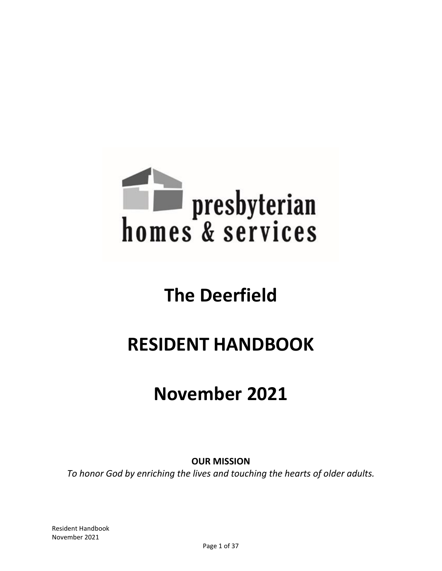

# **The Deerfield**

# **RESIDENT HANDBOOK**

# **November 2021**

**OUR MISSION**

*To honor God by enriching the lives and touching the hearts of older adults.*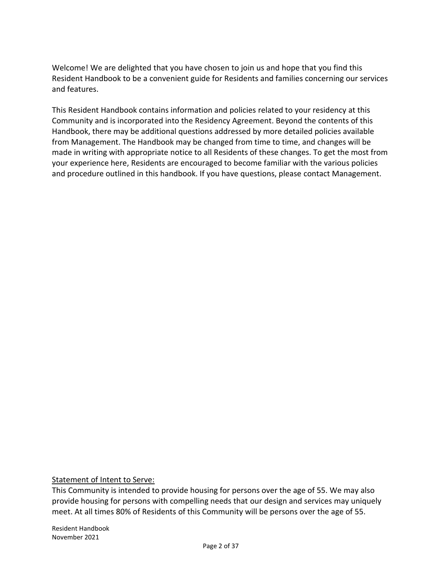Welcome! We are delighted that you have chosen to join us and hope that you find this Resident Handbook to be a convenient guide for Residents and families concerning our services and features.

This Resident Handbook contains information and policies related to your residency at this Community and is incorporated into the Residency Agreement. Beyond the contents of this Handbook, there may be additional questions addressed by more detailed policies available from Management. The Handbook may be changed from time to time, and changes will be made in writing with appropriate notice to all Residents of these changes. To get the most from your experience here, Residents are encouraged to become familiar with the various policies and procedure outlined in this handbook. If you have questions, please contact Management.

Statement of Intent to Serve:

This Community is intended to provide housing for persons over the age of 55. We may also provide housing for persons with compelling needs that our design and services may uniquely meet. At all times 80% of Residents of this Community will be persons over the age of 55.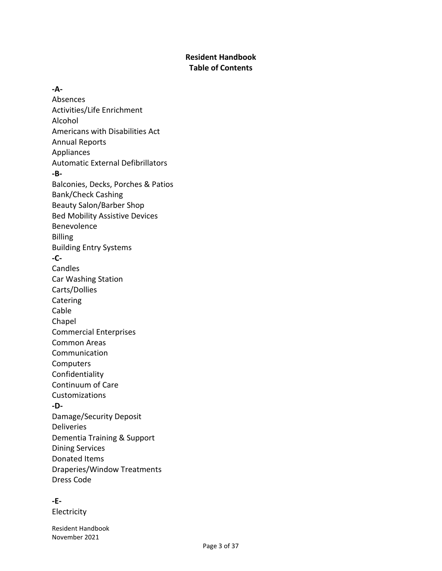# **Resident Handbook Table of Contents**

**-A-**Absences Activities/Life Enrichment Alcohol Americans with Disabilities Act Annual Reports Appliances Automatic External Defibrillators **-B-**Balconies, Decks, Porches & Patios Bank/Check Cashing Beauty Salon/Barber Shop Bed Mobility Assistive Devices Benevolence Billing Building Entry Systems **-C-**Candles Car Washing Station Carts/Dollies Catering Cable Chapel Commercial Enterprises Common Areas Communication Computers Confidentiality Continuum of Care Customizations **-D-**Damage/Security Deposit Deliveries Dementia Training & Support Dining Services Donated Items Draperies/Window Treatments Dress Code

# **-E-**

Electricity

Resident Handbook November 2021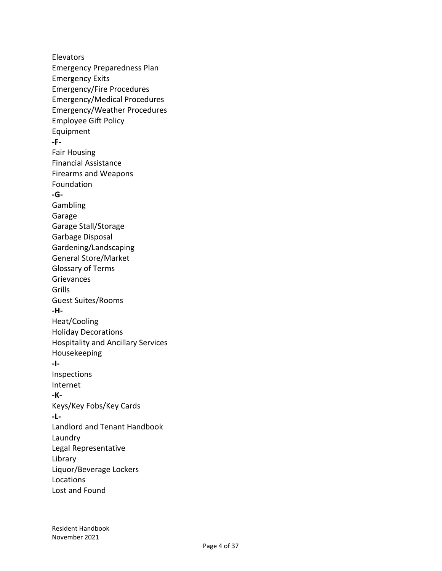**Elevators** Emergency Preparedness Plan Emergency Exits Emergency/Fire Procedures Emergency/Medical Procedures Emergency/Weather Procedures Employee Gift Policy Equipment **-F-**Fair Housing Financial Assistance Firearms and Weapons Foundation **-G-**Gambling Garage Garage Stall/Storage Garbage Disposal Gardening/Landscaping General Store/Market Glossary of Terms Grievances Grills Guest Suites/Rooms **-H-**Heat/Cooling Holiday Decorations Hospitality and Ancillary Services Housekeeping **-I-**Inspections Internet **-K-**Keys/Key Fobs/Key Cards **-L-**Landlord and Tenant Handbook Laundry Legal Representative Library Liquor/Beverage Lockers Locations Lost and Found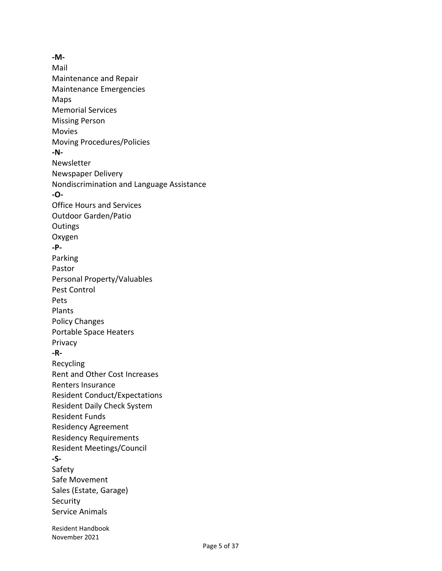Resident Handbook **-M-**Mail Maintenance and Repair Maintenance Emergencies Maps Memorial Services Missing Person Movies Moving Procedures/Policies **-N-**Newsletter Newspaper Delivery Nondiscrimination and Language Assistance **-O-**Office Hours and Services Outdoor Garden/Patio **Outings** Oxygen **-P-**Parking Pastor Personal Property/Valuables Pest Control Pets Plants Policy Changes Portable Space Heaters Privacy **-R-**Recycling Rent and Other Cost Increases Renters Insurance Resident Conduct/Expectations Resident Daily Check System Resident Funds Residency Agreement Residency Requirements Resident Meetings/Council **-S-**Safety Safe Movement Sales (Estate, Garage) **Security** Service Animals

November 2021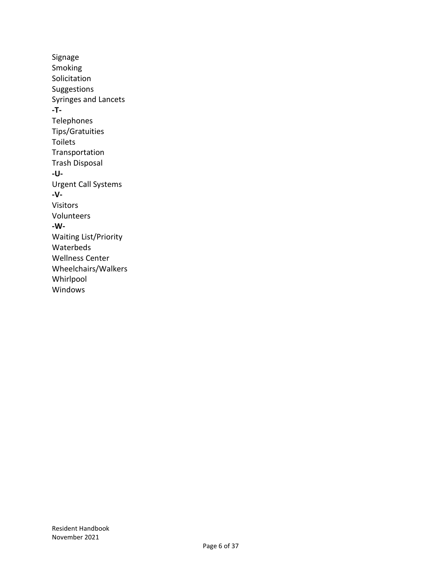Signage Smoking Solicitation Suggestions Syringes and Lancets **-T-**Telephones Tips/Gratuities Toilets Transportation Trash Disposal **-U-**Urgent Call Systems **-V-**Visitors Volunteers **-W-**Waiting List/Priority Waterbeds Wellness Center Wheelchairs/Walkers Whirlpool Windows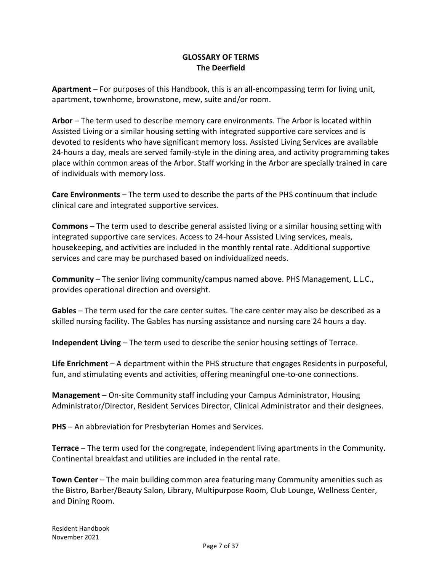## **GLOSSARY OF TERMS The Deerfield**

**Apartment** – For purposes of this Handbook, this is an all-encompassing term for living unit, apartment, townhome, brownstone, mew, suite and/or room.

**Arbor** – The term used to describe memory care environments. The Arbor is located within Assisted Living or a similar housing setting with integrated supportive care services and is devoted to residents who have significant memory loss. Assisted Living Services are available 24-hours a day, meals are served family-style in the dining area, and activity programming takes place within common areas of the Arbor. Staff working in the Arbor are specially trained in care of individuals with memory loss.

**Care Environments** – The term used to describe the parts of the PHS continuum that include clinical care and integrated supportive services.

**Commons** – The term used to describe general assisted living or a similar housing setting with integrated supportive care services. Access to 24-hour Assisted Living services, meals, housekeeping, and activities are included in the monthly rental rate. Additional supportive services and care may be purchased based on individualized needs.

**Community** – The senior living community/campus named above. PHS Management, L.L.C., provides operational direction and oversight.

**Gables** – The term used for the care center suites. The care center may also be described as a skilled nursing facility. The Gables has nursing assistance and nursing care 24 hours a day.

**Independent Living** – The term used to describe the senior housing settings of Terrace.

**Life Enrichment** – A department within the PHS structure that engages Residents in purposeful, fun, and stimulating events and activities, offering meaningful one-to-one connections.

**Management** – On-site Community staff including your Campus Administrator, Housing Administrator/Director, Resident Services Director, Clinical Administrator and their designees.

**PHS** – An abbreviation for Presbyterian Homes and Services.

**Terrace** – The term used for the congregate, independent living apartments in the Community. Continental breakfast and utilities are included in the rental rate.

**Town Center** – The main building common area featuring many Community amenities such as the Bistro, Barber/Beauty Salon, Library, Multipurpose Room, Club Lounge, Wellness Center, and Dining Room.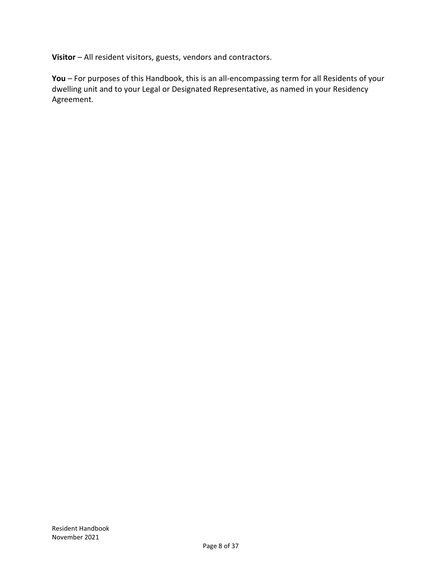**Visitor** – All resident visitors, guests, vendors and contractors.

**You** – For purposes of this Handbook, this is an all-encompassing term for all Residents of your dwelling unit and to your Legal or Designated Representative, as named in your Residency Agreement.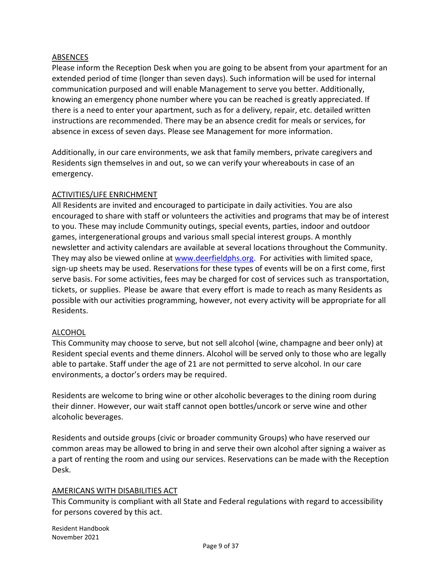#### ABSENCES

Please inform the Reception Desk when you are going to be absent from your apartment for an extended period of time (longer than seven days). Such information will be used for internal communication purposed and will enable Management to serve you better. Additionally, knowing an emergency phone number where you can be reached is greatly appreciated. If there is a need to enter your apartment, such as for a delivery, repair, etc. detailed written instructions are recommended. There may be an absence credit for meals or services, for absence in excess of seven days. Please see Management for more information.

Additionally, in our care environments, we ask that family members, private caregivers and Residents sign themselves in and out, so we can verify your whereabouts in case of an emergency.

#### ACTIVITIES/LIFE ENRICHMENT

All Residents are invited and encouraged to participate in daily activities. You are also encouraged to share with staff or volunteers the activities and programs that may be of interest to you. These may include Community outings, special events, parties, indoor and outdoor games, intergenerational groups and various small special interest groups. A monthly newsletter and activity calendars are available at several locations throughout the Community. They may also be viewed online at [www.deerfieldphs.org.](http://www.deerfieldphs.org/) For activities with limited space, sign-up sheets may be used. Reservations for these types of events will be on a first come, first serve basis. For some activities, fees may be charged for cost of services such as transportation, tickets, or supplies. Please be aware that every effort is made to reach as many Residents as possible with our activities programming, however, not every activity will be appropriate for all Residents.

#### **ALCOHOL**

This Community may choose to serve, but not sell alcohol (wine, champagne and beer only) at Resident special events and theme dinners. Alcohol will be served only to those who are legally able to partake. Staff under the age of 21 are not permitted to serve alcohol. In our care environments, a doctor's orders may be required.

Residents are welcome to bring wine or other alcoholic beverages to the dining room during their dinner. However, our wait staff cannot open bottles/uncork or serve wine and other alcoholic beverages.

Residents and outside groups (civic or broader community Groups) who have reserved our common areas may be allowed to bring in and serve their own alcohol after signing a waiver as a part of renting the room and using our services. Reservations can be made with the Reception Desk.

#### AMERICANS WITH DISABILITIES ACT

This Community is compliant with all State and Federal regulations with regard to accessibility for persons covered by this act.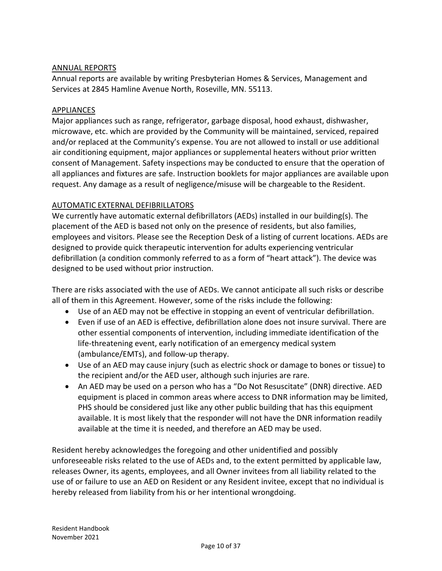#### ANNUAL REPORTS

Annual reports are available by writing Presbyterian Homes & Services, Management and Services at 2845 Hamline Avenue North, Roseville, MN. 55113.

#### **APPLIANCES**

Major appliances such as range, refrigerator, garbage disposal, hood exhaust, dishwasher, microwave, etc. which are provided by the Community will be maintained, serviced, repaired and/or replaced at the Community's expense. You are not allowed to install or use additional air conditioning equipment, major appliances or supplemental heaters without prior written consent of Management. Safety inspections may be conducted to ensure that the operation of all appliances and fixtures are safe. Instruction booklets for major appliances are available upon request. Any damage as a result of negligence/misuse will be chargeable to the Resident.

### AUTOMATIC EXTERNAL DEFIBRILLATORS

We currently have automatic external defibrillators (AEDs) installed in our building(s). The placement of the AED is based not only on the presence of residents, but also families, employees and visitors. Please see the Reception Desk of a listing of current locations. AEDs are designed to provide quick therapeutic intervention for adults experiencing ventricular defibrillation (a condition commonly referred to as a form of "heart attack"). The device was designed to be used without prior instruction.

There are risks associated with the use of AEDs. We cannot anticipate all such risks or describe all of them in this Agreement. However, some of the risks include the following:

- Use of an AED may not be effective in stopping an event of ventricular defibrillation.
- Even if use of an AED is effective, defibrillation alone does not insure survival. There are other essential components of intervention, including immediate identification of the life-threatening event, early notification of an emergency medical system (ambulance/EMTs), and follow-up therapy.
- Use of an AED may cause injury (such as electric shock or damage to bones or tissue) to the recipient and/or the AED user, although such injuries are rare.
- An AED may be used on a person who has a "Do Not Resuscitate" (DNR) directive. AED equipment is placed in common areas where access to DNR information may be limited, PHS should be considered just like any other public building that has this equipment available. It is most likely that the responder will not have the DNR information readily available at the time it is needed, and therefore an AED may be used.

Resident hereby acknowledges the foregoing and other unidentified and possibly unforeseeable risks related to the use of AEDs and, to the extent permitted by applicable law, releases Owner, its agents, employees, and all Owner invitees from all liability related to the use of or failure to use an AED on Resident or any Resident invitee, except that no individual is hereby released from liability from his or her intentional wrongdoing.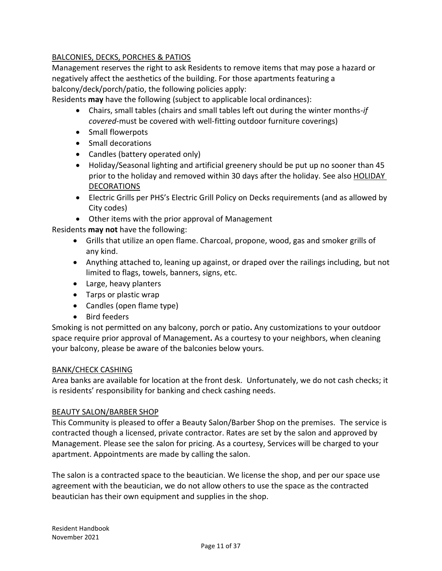# BALCONIES, DECKS, PORCHES & PATIOS

Management reserves the right to ask Residents to remove items that may pose a hazard or negatively affect the aesthetics of the building. For those apartments featuring a balcony/deck/porch/patio, the following policies apply:

Residents **may** have the following (subject to applicable local ordinances):

- Chairs, small tables (chairs and small tables left out during the winter months-*if covered-*must be covered with well-fitting outdoor furniture coverings)
- Small flowerpots
- Small decorations
- Candles (battery operated only)
- Holiday/Seasonal lighting and artificial greenery should be put up no sooner than 45 prior to the holiday and removed within 30 days after the holiday. See also HOLIDAY DECORATIONS
- Electric Grills per PHS's Electric Grill Policy on Decks requirements (and as allowed by City codes)
- Other items with the prior approval of Management

Residents **may not** have the following:

- Grills that utilize an open flame. Charcoal, propone, wood, gas and smoker grills of any kind.
- Anything attached to, leaning up against, or draped over the railings including, but not limited to flags, towels, banners, signs, etc.
- Large, heavy planters
- Tarps or plastic wrap
- Candles (open flame type)
- Bird feeders

Smoking is not permitted on any balcony, porch or patio**.** Any customizations to your outdoor space require prior approval of Management**.** As a courtesy to your neighbors, when cleaning your balcony, please be aware of the balconies below yours.

#### BANK/CHECK CASHING

Area banks are available for location at the front desk. Unfortunately, we do not cash checks; it is residents' responsibility for banking and check cashing needs.

#### BEAUTY SALON/BARBER SHOP

This Community is pleased to offer a Beauty Salon/Barber Shop on the premises. The service is contracted though a licensed, private contractor. Rates are set by the salon and approved by Management. Please see the salon for pricing. As a courtesy, Services will be charged to your apartment. Appointments are made by calling the salon.

The salon is a contracted space to the beautician. We license the shop, and per our space use agreement with the beautician, we do not allow others to use the space as the contracted beautician has their own equipment and supplies in the shop.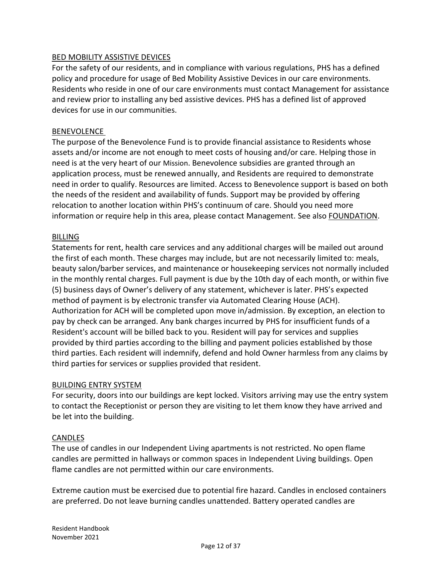#### BED MOBILITY ASSISTIVE DEVICES

For the safety of our residents, and in compliance with various regulations, PHS has a defined policy and procedure for usage of Bed Mobility Assistive Devices in our care environments. Residents who reside in one of our care environments must contact Management for assistance and review prior to installing any bed assistive devices. PHS has a defined list of approved devices for use in our communities.

#### BENEVOLENCE

The purpose of the Benevolence Fund is to provide financial assistance to Residents whose assets and/or income are not enough to meet costs of housing and/or care. Helping those in need is at the very heart of our Mission. Benevolence subsidies are granted through an application process, must be renewed annually, and Residents are required to demonstrate need in order to qualify. Resources are limited. Access to Benevolence support is based on both the needs of the resident and availability of funds. Support may be provided by offering relocation to another location within PHS's continuum of care. Should you need more information or require help in this area, please contact Management. See also FOUNDATION.

#### BILLING

Statements for rent, health care services and any additional charges will be mailed out around the first of each month. These charges may include, but are not necessarily limited to: meals, beauty salon/barber services, and maintenance or housekeeping services not normally included in the monthly rental charges. Full payment is due by the 10th day of each month, or within five (5) business days of Owner's delivery of any statement, whichever is later. PHS's expected method of payment is by electronic transfer via Automated Clearing House (ACH). Authorization for ACH will be completed upon move in/admission. By exception, an election to pay by check can be arranged. Any bank charges incurred by PHS for insufficient funds of a Resident's account will be billed back to you. Resident will pay for services and supplies provided by third parties according to the billing and payment policies established by those third parties. Each resident will indemnify, defend and hold Owner harmless from any claims by third parties for services or supplies provided that resident.

#### BUILDING ENTRY SYSTEM

For security, doors into our buildings are kept locked. Visitors arriving may use the entry system to contact the Receptionist or person they are visiting to let them know they have arrived and be let into the building.

#### CANDLES

The use of candles in our Independent Living apartments is not restricted. No open flame candles are permitted in hallways or common spaces in Independent Living buildings. Open flame candles are not permitted within our care environments.

Extreme caution must be exercised due to potential fire hazard. Candles in enclosed containers are preferred. Do not leave burning candles unattended. Battery operated candles are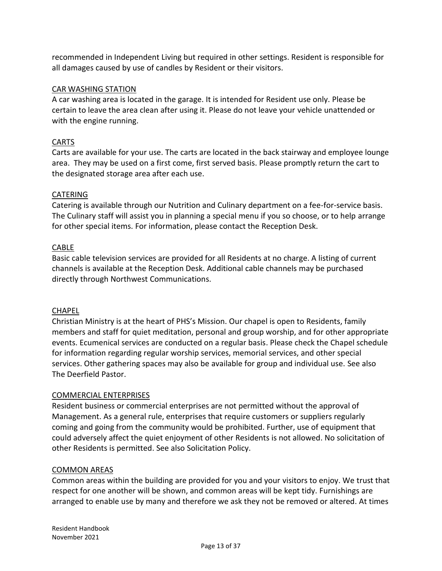recommended in Independent Living but required in other settings. Resident is responsible for all damages caused by use of candles by Resident or their visitors.

# CAR WASHING STATION

A car washing area is located in the garage. It is intended for Resident use only. Please be certain to leave the area clean after using it. Please do not leave your vehicle unattended or with the engine running.

# CARTS

Carts are available for your use. The carts are located in the back stairway and employee lounge area. They may be used on a first come, first served basis. Please promptly return the cart to the designated storage area after each use.

### CATERING

Catering is available through our Nutrition and Culinary department on a fee-for-service basis. The Culinary staff will assist you in planning a special menu if you so choose, or to help arrange for other special items. For information, please contact the Reception Desk.

### CABLE

Basic cable television services are provided for all Residents at no charge. A listing of current channels is available at the Reception Desk. Additional cable channels may be purchased directly through Northwest Communications.

#### CHAPEL

Christian Ministry is at the heart of PHS's Mission. Our chapel is open to Residents, family members and staff for quiet meditation, personal and group worship, and for other appropriate events. Ecumenical services are conducted on a regular basis. Please check the Chapel schedule for information regarding regular worship services, memorial services, and other special services. Other gathering spaces may also be available for group and individual use. See also The Deerfield Pastor.

#### COMMERCIAL ENTERPRISES

Resident business or commercial enterprises are not permitted without the approval of Management. As a general rule, enterprises that require customers or suppliers regularly coming and going from the community would be prohibited. Further, use of equipment that could adversely affect the quiet enjoyment of other Residents is not allowed. No solicitation of other Residents is permitted. See also Solicitation Policy.

#### COMMON AREAS

Common areas within the building are provided for you and your visitors to enjoy. We trust that respect for one another will be shown, and common areas will be kept tidy. Furnishings are arranged to enable use by many and therefore we ask they not be removed or altered. At times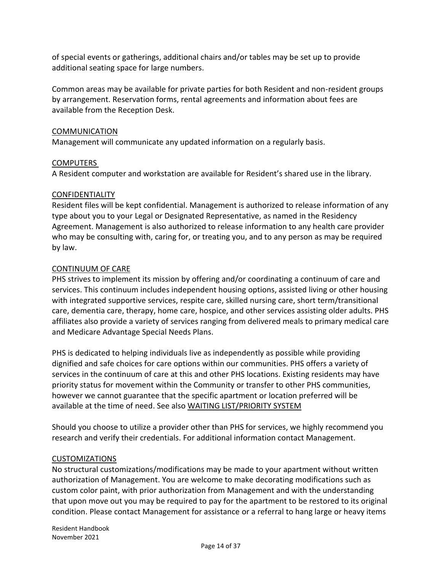of special events or gatherings, additional chairs and/or tables may be set up to provide additional seating space for large numbers.

Common areas may be available for private parties for both Resident and non-resident groups by arrangement. Reservation forms, rental agreements and information about fees are available from the Reception Desk.

#### COMMUNICATION

Management will communicate any updated information on a regularly basis.

#### COMPUTERS

A Resident computer and workstation are available for Resident's shared use in the library.

#### CONFIDENTIALITY

Resident files will be kept confidential. Management is authorized to release information of any type about you to your Legal or Designated Representative, as named in the Residency Agreement. Management is also authorized to release information to any health care provider who may be consulting with, caring for, or treating you, and to any person as may be required by law.

#### CONTINUUM OF CARE

PHS strives to implement its mission by offering and/or coordinating a continuum of care and services. This continuum includes independent housing options, assisted living or other housing with integrated supportive services, respite care, skilled nursing care, short term/transitional care, dementia care, therapy, home care, hospice, and other services assisting older adults. PHS affiliates also provide a variety of services ranging from delivered meals to primary medical care and Medicare Advantage Special Needs Plans.

PHS is dedicated to helping individuals live as independently as possible while providing dignified and safe choices for care options within our communities. PHS offers a variety of services in the continuum of care at this and other PHS locations. Existing residents may have priority status for movement within the Community or transfer to other PHS communities, however we cannot guarantee that the specific apartment or location preferred will be available at the time of need. See also WAITING LIST/PRIORITY SYSTEM

Should you choose to utilize a provider other than PHS for services, we highly recommend you research and verify their credentials. For additional information contact Management.

#### CUSTOMIZATIONS

No structural customizations/modifications may be made to your apartment without written authorization of Management. You are welcome to make decorating modifications such as custom color paint, with prior authorization from Management and with the understanding that upon move out you may be required to pay for the apartment to be restored to its original condition. Please contact Management for assistance or a referral to hang large or heavy items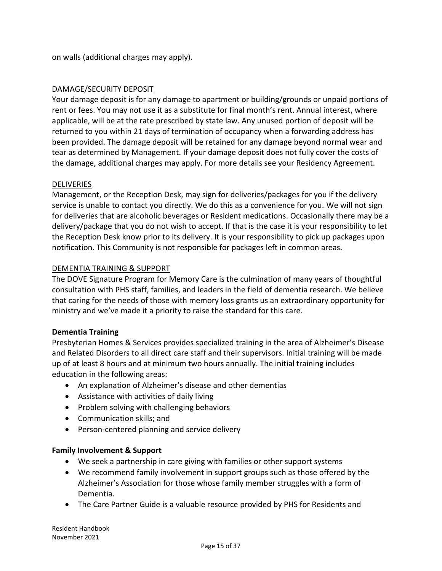on walls (additional charges may apply).

# DAMAGE/SECURITY DEPOSIT

Your damage deposit is for any damage to apartment or building/grounds or unpaid portions of rent or fees. You may not use it as a substitute for final month's rent. Annual interest, where applicable, will be at the rate prescribed by state law. Any unused portion of deposit will be returned to you within 21 days of termination of occupancy when a forwarding address has been provided. The damage deposit will be retained for any damage beyond normal wear and tear as determined by Management. If your damage deposit does not fully cover the costs of the damage, additional charges may apply. For more details see your Residency Agreement.

# DELIVERIES

Management, or the Reception Desk, may sign for deliveries/packages for you if the delivery service is unable to contact you directly. We do this as a convenience for you. We will not sign for deliveries that are alcoholic beverages or Resident medications. Occasionally there may be a delivery/package that you do not wish to accept. If that is the case it is your responsibility to let the Reception Desk know prior to its delivery. It is your responsibility to pick up packages upon notification. This Community is not responsible for packages left in common areas.

### DEMENTIA TRAINING & SUPPORT

The DOVE Signature Program for Memory Care is the culmination of many years of thoughtful consultation with PHS staff, families, and leaders in the field of dementia research. We believe that caring for the needs of those with memory loss grants us an extraordinary opportunity for ministry and we've made it a priority to raise the standard for this care.

#### **Dementia Training**

Presbyterian Homes & Services provides specialized training in the area of Alzheimer's Disease and Related Disorders to all direct care staff and their supervisors. Initial training will be made up of at least 8 hours and at minimum two hours annually. The initial training includes education in the following areas:

- An explanation of Alzheimer's disease and other dementias
- Assistance with activities of daily living
- Problem solving with challenging behaviors
- Communication skills; and
- Person-centered planning and service delivery

# **Family Involvement & Support**

- We seek a partnership in care giving with families or other support systems
- We recommend family involvement in support groups such as those offered by the Alzheimer's Association for those whose family member struggles with a form of Dementia.
- The Care Partner Guide is a valuable resource provided by PHS for Residents and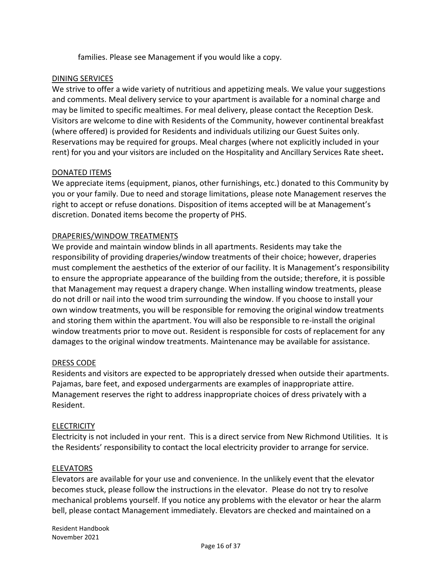families. Please see Management if you would like a copy.

### DINING SERVICES

We strive to offer a wide variety of nutritious and appetizing meals. We value your suggestions and comments. Meal delivery service to your apartment is available for a nominal charge and may be limited to specific mealtimes. For meal delivery, please contact the Reception Desk. Visitors are welcome to dine with Residents of the Community, however continental breakfast (where offered) is provided for Residents and individuals utilizing our Guest Suites only. Reservations may be required for groups. Meal charges (where not explicitly included in your rent) for you and your visitors are included on the Hospitality and Ancillary Services Rate sheet**.** 

### DONATED ITEMS

We appreciate items (equipment, pianos, other furnishings, etc.) donated to this Community by you or your family. Due to need and storage limitations, please note Management reserves the right to accept or refuse donations. Disposition of items accepted will be at Management's discretion. Donated items become the property of PHS.

### DRAPERIES/WINDOW TREATMENTS

We provide and maintain window blinds in all apartments. Residents may take the responsibility of providing draperies/window treatments of their choice; however, draperies must complement the aesthetics of the exterior of our facility. It is Management's responsibility to ensure the appropriate appearance of the building from the outside; therefore, it is possible that Management may request a drapery change. When installing window treatments, please do not drill or nail into the wood trim surrounding the window. If you choose to install your own window treatments, you will be responsible for removing the original window treatments and storing them within the apartment. You will also be responsible to re-install the original window treatments prior to move out. Resident is responsible for costs of replacement for any damages to the original window treatments. Maintenance may be available for assistance.

#### DRESS CODE

Residents and visitors are expected to be appropriately dressed when outside their apartments. Pajamas, bare feet, and exposed undergarments are examples of inappropriate attire. Management reserves the right to address inappropriate choices of dress privately with a Resident.

#### **ELECTRICITY**

Electricity is not included in your rent. This is a direct service from New Richmond Utilities. It is the Residents' responsibility to contact the local electricity provider to arrange for service.

#### ELEVATORS

Elevators are available for your use and convenience. In the unlikely event that the elevator becomes stuck, please follow the instructions in the elevator. Please do not try to resolve mechanical problems yourself. If you notice any problems with the elevator or hear the alarm bell, please contact Management immediately. Elevators are checked and maintained on a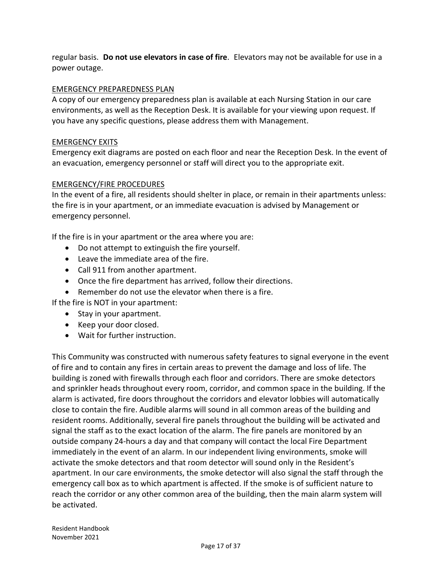regular basis. **Do not use elevators in case of fire**. Elevators may not be available for use in a power outage.

## EMERGENCY PREPAREDNESS PLAN

A copy of our emergency preparedness plan is available at each Nursing Station in our care environments, as well as the Reception Desk. It is available for your viewing upon request. If you have any specific questions, please address them with Management.

#### EMERGENCY EXITS

Emergency exit diagrams are posted on each floor and near the Reception Desk. In the event of an evacuation, emergency personnel or staff will direct you to the appropriate exit.

### EMERGENCY/FIRE PROCEDURES

In the event of a fire, all residents should shelter in place, or remain in their apartments unless: the fire is in your apartment, or an immediate evacuation is advised by Management or emergency personnel.

If the fire is in your apartment or the area where you are:

- Do not attempt to extinguish the fire yourself.
- Leave the immediate area of the fire.
- Call 911 from another apartment.
- Once the fire department has arrived, follow their directions.
- Remember do not use the elevator when there is a fire.

If the fire is NOT in your apartment:

- Stay in your apartment.
- Keep your door closed.
- Wait for further instruction.

This Community was constructed with numerous safety features to signal everyone in the event of fire and to contain any fires in certain areas to prevent the damage and loss of life. The building is zoned with firewalls through each floor and corridors. There are smoke detectors and sprinkler heads throughout every room, corridor, and common space in the building. If the alarm is activated, fire doors throughout the corridors and elevator lobbies will automatically close to contain the fire. Audible alarms will sound in all common areas of the building and resident rooms. Additionally, several fire panels throughout the building will be activated and signal the staff as to the exact location of the alarm. The fire panels are monitored by an outside company 24-hours a day and that company will contact the local Fire Department immediately in the event of an alarm. In our independent living environments, smoke will activate the smoke detectors and that room detector will sound only in the Resident's apartment. In our care environments, the smoke detector will also signal the staff through the emergency call box as to which apartment is affected. If the smoke is of sufficient nature to reach the corridor or any other common area of the building, then the main alarm system will be activated.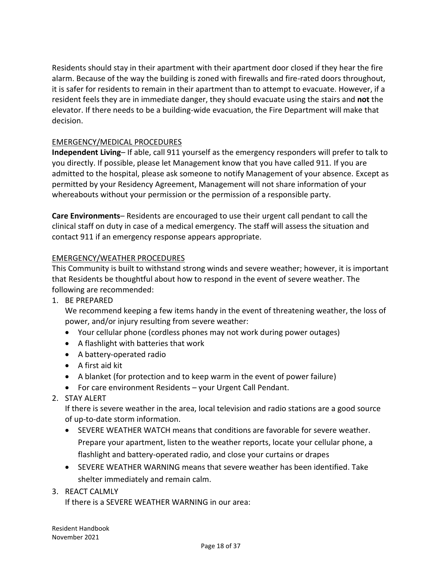Residents should stay in their apartment with their apartment door closed if they hear the fire alarm. Because of the way the building is zoned with firewalls and fire-rated doors throughout, it is safer for residents to remain in their apartment than to attempt to evacuate. However, if a resident feels they are in immediate danger, they should evacuate using the stairs and **not** the elevator. If there needs to be a building-wide evacuation, the Fire Department will make that decision.

# EMERGENCY/MEDICAL PROCEDURES

**Independent Living**– If able, call 911 yourself as the emergency responders will prefer to talk to you directly. If possible, please let Management know that you have called 911. If you are admitted to the hospital, please ask someone to notify Management of your absence. Except as permitted by your Residency Agreement, Management will not share information of your whereabouts without your permission or the permission of a responsible party.

**Care Environments**– Residents are encouraged to use their urgent call pendant to call the clinical staff on duty in case of a medical emergency. The staff will assess the situation and contact 911 if an emergency response appears appropriate.

### EMERGENCY/WEATHER PROCEDURES

This Community is built to withstand strong winds and severe weather; however, it is important that Residents be thoughtful about how to respond in the event of severe weather. The following are recommended:

1. BE PREPARED

We recommend keeping a few items handy in the event of threatening weather, the loss of power, and/or injury resulting from severe weather:

- Your cellular phone (cordless phones may not work during power outages)
- A flashlight with batteries that work
- A battery-operated radio
- A first aid kit
- A blanket (for protection and to keep warm in the event of power failure)
- For care environment Residents your Urgent Call Pendant.
- 2. STAY ALERT

If there is severe weather in the area, local television and radio stations are a good source of up-to-date storm information.

- SEVERE WEATHER WATCH means that conditions are favorable for severe weather. Prepare your apartment, listen to the weather reports, locate your cellular phone, a flashlight and battery-operated radio, and close your curtains or drapes
- SEVERE WEATHER WARNING means that severe weather has been identified. Take shelter immediately and remain calm.
- 3. REACT CALMLY

If there is a SEVERE WEATHER WARNING in our area: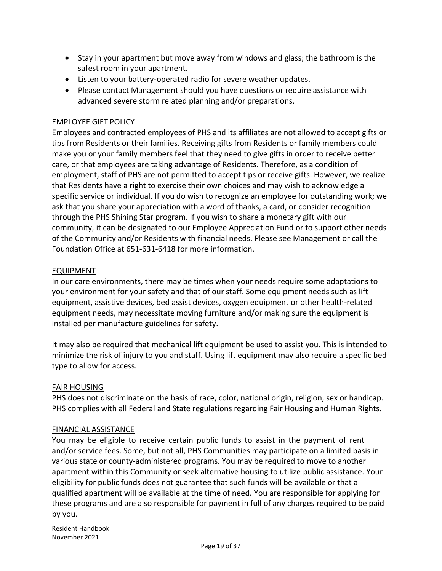- Stay in your apartment but move away from windows and glass; the bathroom is the safest room in your apartment.
- Listen to your battery-operated radio for severe weather updates.
- Please contact Management should you have questions or require assistance with advanced severe storm related planning and/or preparations.

### EMPLOYEE GIFT POLICY

Employees and contracted employees of PHS and its affiliates are not allowed to accept gifts or tips from Residents or their families. Receiving gifts from Residents or family members could make you or your family members feel that they need to give gifts in order to receive better care, or that employees are taking advantage of Residents. Therefore, as a condition of employment, staff of PHS are not permitted to accept tips or receive gifts. However, we realize that Residents have a right to exercise their own choices and may wish to acknowledge a specific service or individual. If you do wish to recognize an employee for outstanding work; we ask that you share your appreciation with a word of thanks, a card, or consider recognition through the PHS Shining Star program. If you wish to share a monetary gift with our community, it can be designated to our Employee Appreciation Fund or to support other needs of the Community and/or Residents with financial needs. Please see Management or call the Foundation Office at 651-631-6418 for more information.

### EQUIPMENT

In our care environments, there may be times when your needs require some adaptations to your environment for your safety and that of our staff. Some equipment needs such as lift equipment, assistive devices, bed assist devices, oxygen equipment or other health-related equipment needs, may necessitate moving furniture and/or making sure the equipment is installed per manufacture guidelines for safety.

It may also be required that mechanical lift equipment be used to assist you. This is intended to minimize the risk of injury to you and staff. Using lift equipment may also require a specific bed type to allow for access.

#### FAIR HOUSING

PHS does not discriminate on the basis of race, color, national origin, religion, sex or handicap. PHS complies with all Federal and State regulations regarding Fair Housing and Human Rights.

#### FINANCIAL ASSISTANCE

You may be eligible to receive certain public funds to assist in the payment of rent and/or service fees. Some, but not all, PHS Communities may participate on a limited basis in various state or county-administered programs. You may be required to move to another apartment within this Community or seek alternative housing to utilize public assistance. Your eligibility for public funds does not guarantee that such funds will be available or that a qualified apartment will be available at the time of need. You are responsible for applying for these programs and are also responsible for payment in full of any charges required to be paid by you.

Resident Handbook November 2021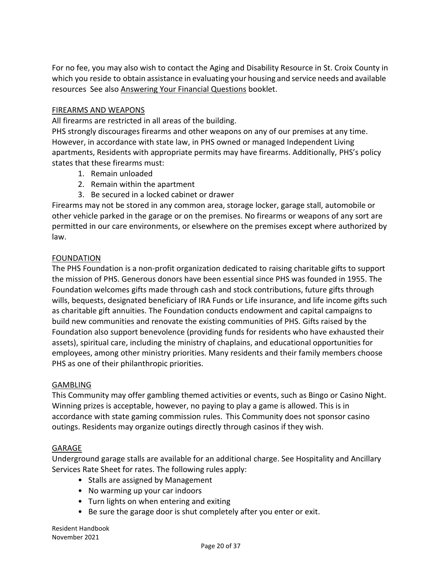For no fee, you may also wish to contact the Aging and Disability Resource in St. Croix County in which you reside to obtain assistance in evaluating your housing and service needs and available resources See also Answering Your Financial Questions booklet.

#### FIREARMS AND WEAPONS

All firearms are restricted in all areas of the building.

PHS strongly discourages firearms and other weapons on any of our premises at any time. However, in accordance with state law, in PHS owned or managed Independent Living apartments, Residents with appropriate permits may have firearms. Additionally, PHS's policy states that these firearms must:

- 1. Remain unloaded
- 2. Remain within the apartment
- 3. Be secured in a locked cabinet or drawer

Firearms may not be stored in any common area, storage locker, garage stall, automobile or other vehicle parked in the garage or on the premises. No firearms or weapons of any sort are permitted in our care environments, or elsewhere on the premises except where authorized by law.

#### FOUNDATION

The PHS Foundation is a non-profit organization dedicated to raising charitable gifts to support the mission of PHS. Generous donors have been essential since PHS was founded in 1955. The Foundation welcomes gifts made through cash and stock contributions, future gifts through wills, bequests, designated beneficiary of IRA Funds or Life insurance, and life income gifts such as charitable gift annuities. The Foundation conducts endowment and capital campaigns to build new communities and renovate the existing communities of PHS. Gifts raised by the Foundation also support benevolence (providing funds for residents who have exhausted their assets), spiritual care, including the ministry of chaplains, and educational opportunities for employees, among other ministry priorities. Many residents and their family members choose PHS as one of their philanthropic priorities.

#### **GAMBLING**

This Community may offer gambling themed activities or events, such as Bingo or Casino Night. Winning prizes is acceptable, however, no paying to play a game is allowed. This is in accordance with state gaming commission rules. This Community does not sponsor casino outings. Residents may organize outings directly through casinos if they wish.

#### GARAGE

Underground garage stalls are available for an additional charge. See Hospitality and Ancillary Services Rate Sheet for rates. The following rules apply:

- Stalls are assigned by Management
- No warming up your car indoors
- Turn lights on when entering and exiting
- Be sure the garage door is shut completely after you enter or exit.

Resident Handbook November 2021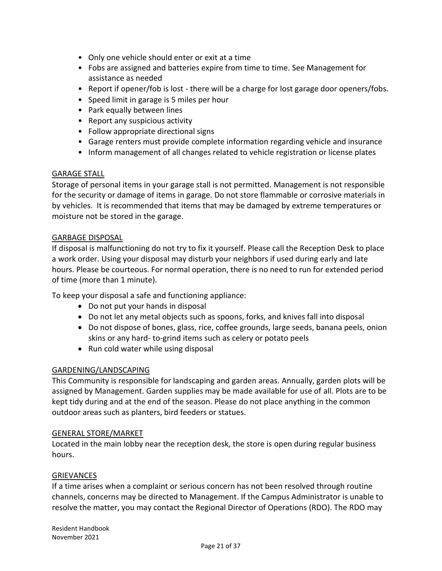- Only one vehicle should enter or exit at a time
- Fobs are assigned and batteries expire from time to time. See Management for assistance as needed
- Report if opener/fob is lost there will be a charge for lost garage door openers/fobs.
- Speed limit in garage is 5 miles per hour
- Park equally between lines
- Report any suspicious activity
- Follow appropriate directional signs
- Garage renters must provide complete information regarding vehicle and insurance
- Inform management of all changes related to vehicle registration or license plates

#### GARAGE STALL

Storage of personal items in your garage stall is not permitted. Management is not responsible for the security or damage of items in garage. Do not store flammable or corrosive materials in by vehicles. It is recommended that items that may be damaged by extreme temperatures or moisture not be stored in the garage.

#### GARBAGE DISPOSAL

If disposal is malfunctioning do not try to fix it yourself. Please call the Reception Desk to place a work order. Using your disposal may disturb your neighbors if used during early and late hours. Please be courteous. For normal operation, there is no need to run for extended period of time (more than 1 minute).

To keep your disposal a safe and functioning appliance:

- Do not put your hands in disposal
- Do not let any metal objects such as spoons, forks, and knives fall into disposal
- Do not dispose of bones, glass, rice, coffee grounds, large seeds, banana peels, onion skins or any hard- to-grind items such as celery or potato peels
- Run cold water while using disposal

#### GARDENING/LANDSCAPING

This Community is responsible for landscaping and garden areas. Annually, garden plots will be assigned by Management. Garden supplies may be made available for use of all. Plots are to be kept tidy during and at the end of the season. Please do not place anything in the common outdoor areas such as planters, bird feeders or statues.

#### GENERAL STORE/MARKET

Located in the main lobby near the reception desk, the store is open during regular business hours.

#### **GRIEVANCES**

If a time arises when a complaint or serious concern has not been resolved through routine channels, concerns may be directed to Management. If the Campus Administrator is unable to resolve the matter, you may contact the Regional Director of Operations (RDO). The RDO may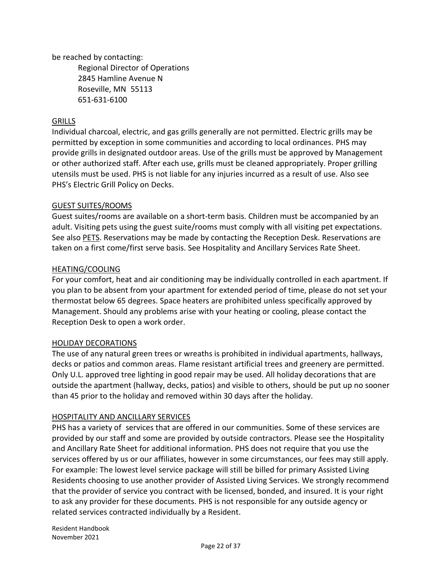be reached by contacting:

Regional Director of Operations 2845 Hamline Avenue N Roseville, MN 55113 651-631-6100

# **GRILLS**

Individual charcoal, electric, and gas grills generally are not permitted. Electric grills may be permitted by exception in some communities and according to local ordinances. PHS may provide grills in designated outdoor areas. Use of the grills must be approved by Management or other authorized staff. After each use, grills must be cleaned appropriately. Proper grilling utensils must be used. PHS is not liable for any injuries incurred as a result of use. Also see PHS's Electric Grill Policy on Decks.

### GUEST SUITES/ROOMS

Guest suites/rooms are available on a short-term basis. Children must be accompanied by an adult. Visiting pets using the guest suite/rooms must comply with all visiting pet expectations. See also PETS. Reservations may be made by contacting the Reception Desk. Reservations are taken on a first come/first serve basis. See Hospitality and Ancillary Services Rate Sheet.

### HEATING/COOLING

For your comfort, heat and air conditioning may be individually controlled in each apartment. If you plan to be absent from your apartment for extended period of time, please do not set your thermostat below 65 degrees. Space heaters are prohibited unless specifically approved by Management. Should any problems arise with your heating or cooling, please contact the Reception Desk to open a work order.

#### HOLIDAY DECORATIONS

The use of any natural green trees or wreaths is prohibited in individual apartments, hallways, decks or patios and common areas. Flame resistant artificial trees and greenery are permitted. Only U.L. approved tree lighting in good repair may be used. All holiday decorations that are outside the apartment (hallway, decks, patios) and visible to others, should be put up no sooner than 45 prior to the holiday and removed within 30 days after the holiday.

# HOSPITALITY AND ANCILLARY SERVICES

PHS has a variety of services that are offered in our communities. Some of these services are provided by our staff and some are provided by outside contractors. Please see the Hospitality and Ancillary Rate Sheet for additional information. PHS does not require that you use the services offered by us or our affiliates, however in some circumstances, our fees may still apply. For example: The lowest level service package will still be billed for primary Assisted Living Residents choosing to use another provider of Assisted Living Services. We strongly recommend that the provider of service you contract with be licensed, bonded, and insured. It is your right to ask any provider for these documents. PHS is not responsible for any outside agency or related services contracted individually by a Resident.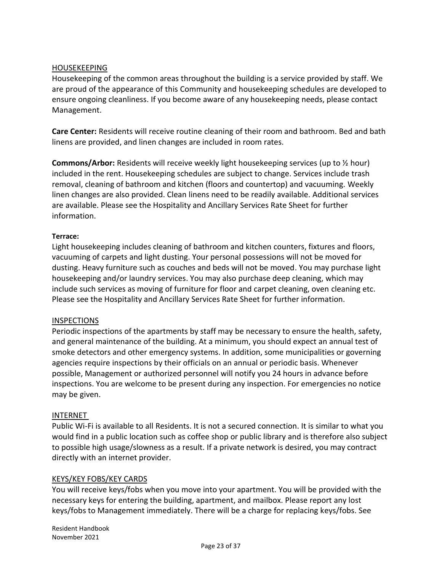#### HOUSEKEEPING

Housekeeping of the common areas throughout the building is a service provided by staff. We are proud of the appearance of this Community and housekeeping schedules are developed to ensure ongoing cleanliness. If you become aware of any housekeeping needs, please contact Management.

**Care Center:** Residents will receive routine cleaning of their room and bathroom. Bed and bath linens are provided, and linen changes are included in room rates.

**Commons/Arbor:** Residents will receive weekly light housekeeping services (up to ½ hour) included in the rent. Housekeeping schedules are subject to change. Services include trash removal, cleaning of bathroom and kitchen (floors and countertop) and vacuuming. Weekly linen changes are also provided. Clean linens need to be readily available. Additional services are available. Please see the Hospitality and Ancillary Services Rate Sheet for further information.

#### **Terrace:**

Light housekeeping includes cleaning of bathroom and kitchen counters, fixtures and floors, vacuuming of carpets and light dusting. Your personal possessions will not be moved for dusting. Heavy furniture such as couches and beds will not be moved. You may purchase light housekeeping and/or laundry services. You may also purchase deep cleaning, which may include such services as moving of furniture for floor and carpet cleaning, oven cleaning etc. Please see the Hospitality and Ancillary Services Rate Sheet for further information.

#### **INSPECTIONS**

Periodic inspections of the apartments by staff may be necessary to ensure the health, safety, and general maintenance of the building. At a minimum, you should expect an annual test of smoke detectors and other emergency systems. In addition, some municipalities or governing agencies require inspections by their officials on an annual or periodic basis. Whenever possible, Management or authorized personnel will notify you 24 hours in advance before inspections. You are welcome to be present during any inspection. For emergencies no notice may be given.

#### INTERNET

Public Wi-Fi is available to all Residents. It is not a secured connection. It is similar to what you would find in a public location such as coffee shop or public library and is therefore also subject to possible high usage/slowness as a result. If a private network is desired, you may contract directly with an internet provider.

#### KEYS/KEY FOBS/KEY CARDS

You will receive keys/fobs when you move into your apartment. You will be provided with the necessary keys for entering the building, apartment, and mailbox. Please report any lost keys/fobs to Management immediately. There will be a charge for replacing keys/fobs. See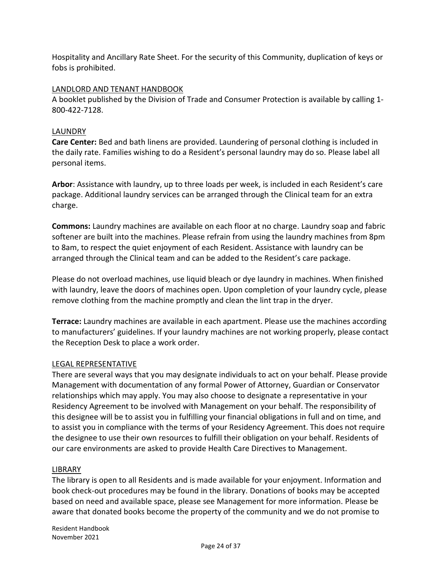Hospitality and Ancillary Rate Sheet. For the security of this Community, duplication of keys or fobs is prohibited.

# LANDLORD AND TENANT HANDBOOK

A booklet published by the Division of Trade and Consumer Protection is available by calling 1- 800-422-7128.

# LAUNDRY

**Care Center:** Bed and bath linens are provided. Laundering of personal clothing is included in the daily rate. Families wishing to do a Resident's personal laundry may do so. Please label all personal items.

**Arbor**: Assistance with laundry, up to three loads per week, is included in each Resident's care package. Additional laundry services can be arranged through the Clinical team for an extra charge.

**Commons:** Laundry machines are available on each floor at no charge. Laundry soap and fabric softener are built into the machines. Please refrain from using the laundry machines from 8pm to 8am, to respect the quiet enjoyment of each Resident. Assistance with laundry can be arranged through the Clinical team and can be added to the Resident's care package.

Please do not overload machines, use liquid bleach or dye laundry in machines. When finished with laundry, leave the doors of machines open. Upon completion of your laundry cycle, please remove clothing from the machine promptly and clean the lint trap in the dryer.

**Terrace:** Laundry machines are available in each apartment. Please use the machines according to manufacturers' guidelines. If your laundry machines are not working properly, please contact the Reception Desk to place a work order.

# LEGAL REPRESENTATIVE

There are several ways that you may designate individuals to act on your behalf. Please provide Management with documentation of any formal Power of Attorney, Guardian or Conservator relationships which may apply. You may also choose to designate a representative in your Residency Agreement to be involved with Management on your behalf. The responsibility of this designee will be to assist you in fulfilling your financial obligations in full and on time, and to assist you in compliance with the terms of your Residency Agreement. This does not require the designee to use their own resources to fulfill their obligation on your behalf. Residents of our care environments are asked to provide Health Care Directives to Management.

# LIBRARY

The library is open to all Residents and is made available for your enjoyment. Information and book check-out procedures may be found in the library. Donations of books may be accepted based on need and available space, please see Management for more information. Please be aware that donated books become the property of the community and we do not promise to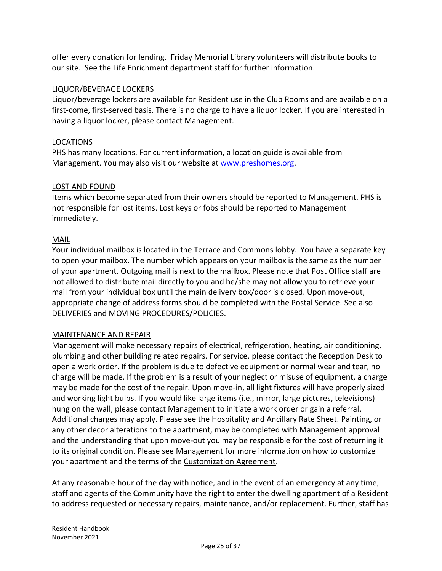offer every donation for lending. Friday Memorial Library volunteers will distribute books to our site. See the Life Enrichment department staff for further information.

## LIQUOR/BEVERAGE LOCKERS

Liquor/beverage lockers are available for Resident use in the Club Rooms and are available on a first-come, first-served basis. There is no charge to have a liquor locker. If you are interested in having a liquor locker, please contact Management.

#### LOCATIONS

PHS has many locations. For current information, a location guide is available from Management. You may also visit our website at [www.preshomes.org.](http://www.preshomes.org/)

#### LOST AND FOUND

Items which become separated from their owners should be reported to Management. PHS is not responsible for lost items. Lost keys or fobs should be reported to Management immediately.

#### MAIL

Your individual mailbox is located in the Terrace and Commons lobby. You have a separate key to open your mailbox. The number which appears on your mailbox is the same as the number of your apartment. Outgoing mail is next to the mailbox. Please note that Post Office staff are not allowed to distribute mail directly to you and he/she may not allow you to retrieve your mail from your individual box until the main delivery box/door is closed. Upon move-out, appropriate change of address forms should be completed with the Postal Service. See also DELIVERIES and MOVING PROCEDURES/POLICIES.

#### MAINTENANCE AND REPAIR

Management will make necessary repairs of electrical, refrigeration, heating, air conditioning, plumbing and other building related repairs. For service, please contact the Reception Desk to open a work order. If the problem is due to defective equipment or normal wear and tear, no charge will be made. If the problem is a result of your neglect or misuse of equipment, a charge may be made for the cost of the repair. Upon move-in, all light fixtures will have properly sized and working light bulbs. If you would like large items (i.e., mirror, large pictures, televisions) hung on the wall, please contact Management to initiate a work order or gain a referral. Additional charges may apply. Please see the Hospitality and Ancillary Rate Sheet. Painting, or any other decor alterations to the apartment, may be completed with Management approval and the understanding that upon move-out you may be responsible for the cost of returning it to its original condition. Please see Management for more information on how to customize your apartment and the terms of the Customization Agreement.

At any reasonable hour of the day with notice, and in the event of an emergency at any time, staff and agents of the Community have the right to enter the dwelling apartment of a Resident to address requested or necessary repairs, maintenance, and/or replacement. Further, staff has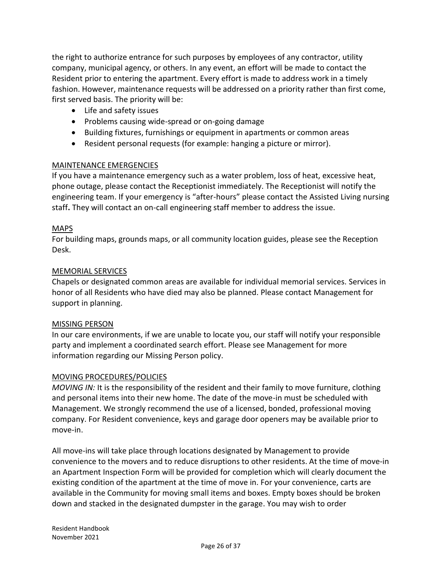the right to authorize entrance for such purposes by employees of any contractor, utility company, municipal agency, or others. In any event, an effort will be made to contact the Resident prior to entering the apartment. Every effort is made to address work in a timely fashion. However, maintenance requests will be addressed on a priority rather than first come, first served basis. The priority will be:

- Life and safety issues
- Problems causing wide-spread or on-going damage
- Building fixtures, furnishings or equipment in apartments or common areas
- Resident personal requests (for example: hanging a picture or mirror).

#### MAINTENANCE EMERGENCIES

If you have a maintenance emergency such as a water problem, loss of heat, excessive heat, phone outage, please contact the Receptionist immediately. The Receptionist will notify the engineering team. If your emergency is "after-hours" please contact the Assisted Living nursing staff**.** They will contact an on-call engineering staff member to address the issue.

### MAPS

For building maps, grounds maps, or all community location guides, please see the Reception Desk.

### MEMORIAL SERVICES

Chapels or designated common areas are available for individual memorial services. Services in honor of all Residents who have died may also be planned. Please contact Management for support in planning.

#### MISSING PERSON

In our care environments, if we are unable to locate you, our staff will notify your responsible party and implement a coordinated search effort. Please see Management for more information regarding our Missing Person policy.

#### MOVING PROCEDURES/POLICIES

*MOVING IN:* It is the responsibility of the resident and their family to move furniture, clothing and personal items into their new home. The date of the move-in must be scheduled with Management. We strongly recommend the use of a licensed, bonded, professional moving company. For Resident convenience, keys and garage door openers may be available prior to move-in.

All move-ins will take place through locations designated by Management to provide convenience to the movers and to reduce disruptions to other residents. At the time of move-in an Apartment Inspection Form will be provided for completion which will clearly document the existing condition of the apartment at the time of move in. For your convenience, carts are available in the Community for moving small items and boxes. Empty boxes should be broken down and stacked in the designated dumpster in the garage. You may wish to order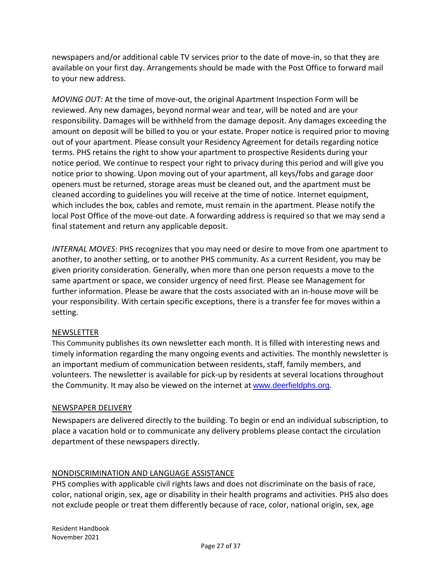newspapers and/or additional cable TV services prior to the date of move-in, so that they are available on your first day. Arrangements should be made with the Post Office to forward mail to your new address.

*MOVING OUT:* At the time of move-out, the original Apartment Inspection Form will be reviewed. Any new damages, beyond normal wear and tear, will be noted and are your responsibility. Damages will be withheld from the damage deposit. Any damages exceeding the amount on deposit will be billed to you or your estate. Proper notice is required prior to moving out of your apartment. Please consult your Residency Agreement for details regarding notice terms. PHS retains the right to show your apartment to prospective Residents during your notice period. We continue to respect your right to privacy during this period and will give you notice prior to showing. Upon moving out of your apartment, all keys/fobs and garage door openers must be returned, storage areas must be cleaned out, and the apartment must be cleaned according to guidelines you will receive at the time of notice. Internet equipment, which includes the box, cables and remote, must remain in the apartment. Please notify the local Post Office of the move-out date. A forwarding address is required so that we may send a final statement and return any applicable deposit.

*INTERNAL MOVES*: PHS recognizes that you may need or desire to move from one apartment to another, to another setting, or to another PHS community. As a current Resident, you may be given priority consideration. Generally, when more than one person requests a move to the same apartment or space, we consider urgency of need first. Please see Management for further information. Please be aware that the costs associated with an in-house move will be your responsibility. With certain specific exceptions, there is a transfer fee for moves within a setting.

# NEWSLETTER

This Community publishes its own newsletter each month. It is filled with interesting news and timely information regarding the many ongoing events and activities. The monthly newsletter is an important medium of communication between residents, staff, family members, and volunteers. The newsletter is available for pick-up by residents at several locations throughout the Community. It may also be viewed on the internet at [www.deerfieldphs.org.](http://www.deerfieldphs.org/)

# NEWSPAPER DELIVERY

Newspapers are delivered directly to the building. To begin or end an individual subscription, to place a vacation hold or to communicate any delivery problems please contact the circulation department of these newspapers directly.

# NONDISCRIMINATION AND LANGUAGE ASSISTANCE

PHS complies with applicable civil rights laws and does not discriminate on the basis of race, color, national origin, sex, age or disability in their health programs and activities. PHS also does not exclude people or treat them differently because of race, color, national origin, sex, age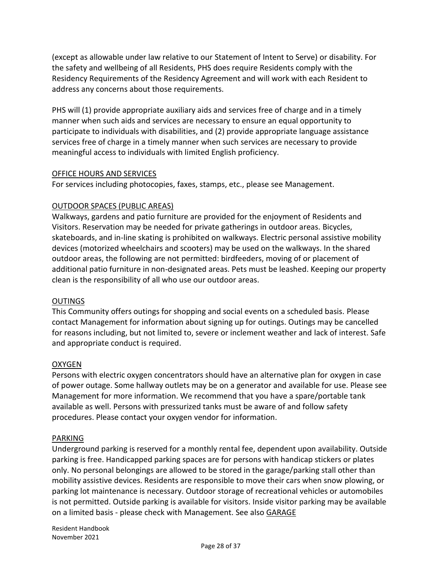(except as allowable under law relative to our Statement of Intent to Serve) or disability. For the safety and wellbeing of all Residents, PHS does require Residents comply with the Residency Requirements of the Residency Agreement and will work with each Resident to address any concerns about those requirements.

PHS will (1) provide appropriate auxiliary aids and services free of charge and in a timely manner when such aids and services are necessary to ensure an equal opportunity to participate to individuals with disabilities, and (2) provide appropriate language assistance services free of charge in a timely manner when such services are necessary to provide meaningful access to individuals with limited English proficiency.

#### OFFICE HOURS AND SERVICES

For services including photocopies, faxes, stamps, etc., please see Management.

#### OUTDOOR SPACES (PUBLIC AREAS)

Walkways, gardens and patio furniture are provided for the enjoyment of Residents and Visitors. Reservation may be needed for private gatherings in outdoor areas. Bicycles, skateboards, and in-line skating is prohibited on walkways. Electric personal assistive mobility devices (motorized wheelchairs and scooters) may be used on the walkways. In the shared outdoor areas, the following are not permitted: birdfeeders, moving of or placement of additional patio furniture in non-designated areas. Pets must be leashed. Keeping our property clean is the responsibility of all who use our outdoor areas.

#### OUTINGS

This Community offers outings for shopping and social events on a scheduled basis. Please contact Management for information about signing up for outings. Outings may be cancelled for reasons including, but not limited to, severe or inclement weather and lack of interest. Safe and appropriate conduct is required.

#### OXYGEN

Persons with electric oxygen concentrators should have an alternative plan for oxygen in case of power outage. Some hallway outlets may be on a generator and available for use. Please see Management for more information. We recommend that you have a spare/portable tank available as well. Persons with pressurized tanks must be aware of and follow safety procedures. Please contact your oxygen vendor for information.

#### PARKING

Underground parking is reserved for a monthly rental fee, dependent upon availability. Outside parking is free. Handicapped parking spaces are for persons with handicap stickers or plates only. No personal belongings are allowed to be stored in the garage/parking stall other than mobility assistive devices. Residents are responsible to move their cars when snow plowing, or parking lot maintenance is necessary. Outdoor storage of recreational vehicles or automobiles is not permitted. Outside parking is available for visitors. Inside visitor parking may be available on a limited basis - please check with Management. See also GARAGE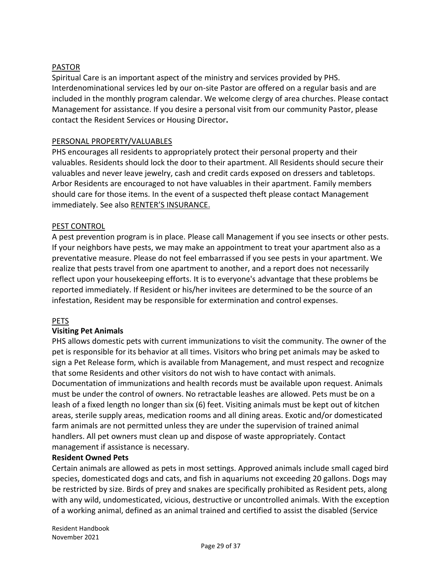# PASTOR

Spiritual Care is an important aspect of the ministry and services provided by PHS. Interdenominational services led by our on-site Pastor are offered on a regular basis and are included in the monthly program calendar. We welcome clergy of area churches. Please contact Management for assistance. If you desire a personal visit from our community Pastor, please contact the Resident Services or Housing Director**.**

### PERSONAL PROPERTY/VALUABLES

PHS encourages all residents to appropriately protect their personal property and their valuables. Residents should lock the door to their apartment. All Residents should secure their valuables and never leave jewelry, cash and credit cards exposed on dressers and tabletops. Arbor Residents are encouraged to not have valuables in their apartment. Family members should care for those items. In the event of a suspected theft please contact Management immediately. See also RENTER'S INSURANCE.

### PEST CONTROL

A pest prevention program is in place. Please call Management if you see insects or other pests. If your neighbors have pests, we may make an appointment to treat your apartment also as a preventative measure. Please do not feel embarrassed if you see pests in your apartment. We realize that pests travel from one apartment to another, and a report does not necessarily reflect upon your housekeeping efforts. It is to everyone's advantage that these problems be reported immediately. If Resident or his/her invitees are determined to be the source of an infestation, Resident may be responsible for extermination and control expenses.

#### PETS

# **Visiting Pet Animals**

PHS allows domestic pets with current immunizations to visit the community. The owner of the pet is responsible for its behavior at all times. Visitors who bring pet animals may be asked to sign a Pet Release form, which is available from Management, and must respect and recognize that some Residents and other visitors do not wish to have contact with animals. Documentation of immunizations and health records must be available upon request. Animals must be under the control of owners. No retractable leashes are allowed. Pets must be on a leash of a fixed length no longer than six (6) feet. Visiting animals must be kept out of kitchen areas, sterile supply areas, medication rooms and all dining areas. Exotic and/or domesticated farm animals are not permitted unless they are under the supervision of trained animal handlers. All pet owners must clean up and dispose of waste appropriately. Contact management if assistance is necessary.

#### **Resident Owned Pets**

Certain animals are allowed as pets in most settings. Approved animals include small caged bird species, domesticated dogs and cats, and fish in aquariums not exceeding 20 gallons. Dogs may be restricted by size. Birds of prey and snakes are specifically prohibited as Resident pets, along with any wild, undomesticated, vicious, destructive or uncontrolled animals. With the exception of a working animal, defined as an animal trained and certified to assist the disabled (Service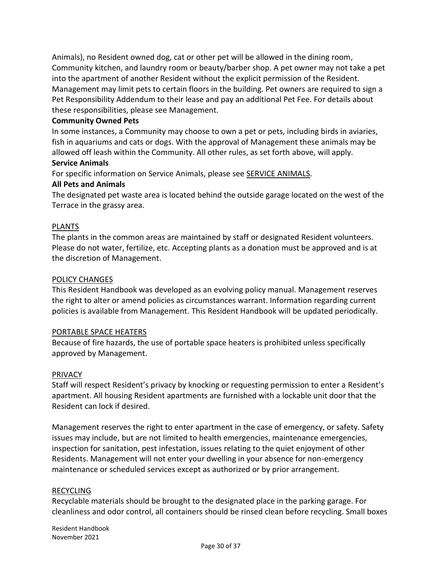Animals), no Resident owned dog, cat or other pet will be allowed in the dining room, Community kitchen, and laundry room or beauty/barber shop. A pet owner may not take a pet into the apartment of another Resident without the explicit permission of the Resident. Management may limit pets to certain floors in the building. Pet owners are required to sign a Pet Responsibility Addendum to their lease and pay an additional Pet Fee. For details about these responsibilities, please see Management.

#### **Community Owned Pets**

In some instances, a Community may choose to own a pet or pets, including birds in aviaries, fish in aquariums and cats or dogs. With the approval of Management these animals may be allowed off leash within the Community. All other rules, as set forth above, will apply.

#### **Service Animals**

For specific information on Service Animals, please see SERVICE ANIMALS.

#### **All Pets and Animals**

The designated pet waste area is located behind the outside garage located on the west of the Terrace in the grassy area.

#### PLANTS

The plants in the common areas are maintained by staff or designated Resident volunteers. Please do not water, fertilize, etc. Accepting plants as a donation must be approved and is at the discretion of Management.

#### POLICY CHANGES

This Resident Handbook was developed as an evolving policy manual. Management reserves the right to alter or amend policies as circumstances warrant. Information regarding current policies is available from Management. This Resident Handbook will be updated periodically.

#### PORTABLE SPACE HEATERS

Because of fire hazards, the use of portable space heaters is prohibited unless specifically approved by Management.

#### PRIVACY

Staff will respect Resident's privacy by knocking or requesting permission to enter a Resident's apartment. All housing Resident apartments are furnished with a lockable unit door that the Resident can lock if desired.

Management reserves the right to enter apartment in the case of emergency, or safety. Safety issues may include, but are not limited to health emergencies, maintenance emergencies, inspection for sanitation, pest infestation, issues relating to the quiet enjoyment of other Residents. Management will not enter your dwelling in your absence for non-emergency maintenance or scheduled services except as authorized or by prior arrangement.

#### RECYCLING

Recyclable materials should be brought to the designated place in the parking garage. For cleanliness and odor control, all containers should be rinsed clean before recycling. Small boxes

Resident Handbook November 2021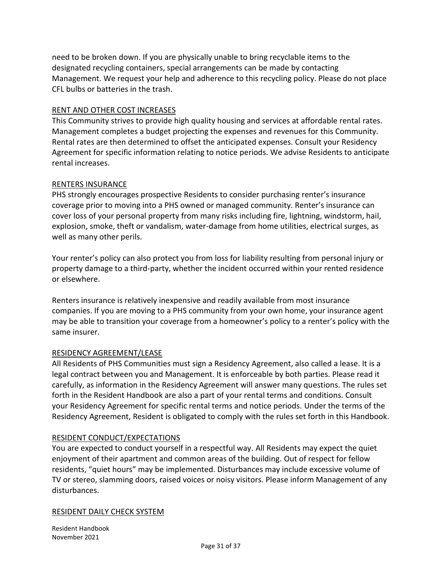need to be broken down. If you are physically unable to bring recyclable items to the designated recycling containers, special arrangements can be made by contacting Management. We request your help and adherence to this recycling policy. Please do not place CFL bulbs or batteries in the trash.

### RENT AND OTHER COST INCREASES

This Community strives to provide high quality housing and services at affordable rental rates. Management completes a budget projecting the expenses and revenues for this Community. Rental rates are then determined to offset the anticipated expenses. Consult your Residency Agreement for specific information relating to notice periods. We advise Residents to anticipate rental increases.

#### RENTERS INSURANCE

PHS strongly encourages prospective Residents to consider purchasing renter's insurance coverage prior to moving into a PHS owned or managed community. Renter's insurance can cover loss of your personal property from many risks including fire, lightning, windstorm, hail, explosion, smoke, theft or vandalism, water-damage from home utilities, electrical surges, as well as many other perils.

Your renter's policy can also protect you from loss for liability resulting from personal injury or property damage to a third-party, whether the incident occurred within your rented residence or elsewhere.

Renters insurance is relatively inexpensive and readily available from most insurance companies. If you are moving to a PHS community from your own home, your insurance agent may be able to transition your coverage from a homeowner's policy to a renter's policy with the same insurer.

#### RESIDENCY AGREEMENT/LEASE

All Residents of PHS Communities must sign a Residency Agreement, also called a lease. It is a legal contract between you and Management. It is enforceable by both parties. Please read it carefully, as information in the Residency Agreement will answer many questions. The rules set forth in the Resident Handbook are also a part of your rental terms and conditions. Consult your Residency Agreement for specific rental terms and notice periods. Under the terms of the Residency Agreement, Resident is obligated to comply with the rules set forth in this Handbook.

#### RESIDENT CONDUCT/EXPECTATIONS

You are expected to conduct yourself in a respectful way. All Residents may expect the quiet enjoyment of their apartment and common areas of the building. Out of respect for fellow residents, "quiet hours" may be implemented. Disturbances may include excessive volume of TV or stereo, slamming doors, raised voices or noisy visitors. Please inform Management of any disturbances.

#### RESIDENT DAILY CHECK SYSTEM

Resident Handbook November 2021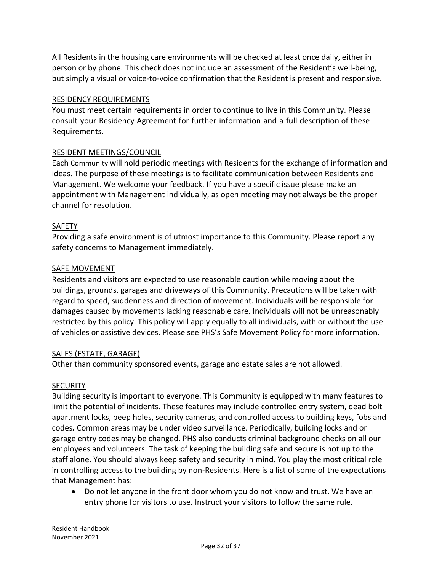All Residents in the housing care environments will be checked at least once daily, either in person or by phone. This check does not include an assessment of the Resident's well-being, but simply a visual or voice-to-voice confirmation that the Resident is present and responsive.

#### RESIDENCY REQUIREMENTS

You must meet certain requirements in order to continue to live in this Community. Please consult your Residency Agreement for further information and a full description of these Requirements.

### RESIDENT MEETINGS/COUNCIL

Each Community will hold periodic meetings with Residents for the exchange of information and ideas. The purpose of these meetings is to facilitate communication between Residents and Management. We welcome your feedback. If you have a specific issue please make an appointment with Management individually, as open meeting may not always be the proper channel for resolution.

#### SAFETY

Providing a safe environment is of utmost importance to this Community. Please report any safety concerns to Management immediately.

#### SAFE MOVEMENT

Residents and visitors are expected to use reasonable caution while moving about the buildings, grounds, garages and driveways of this Community. Precautions will be taken with regard to speed, suddenness and direction of movement. Individuals will be responsible for damages caused by movements lacking reasonable care. Individuals will not be unreasonably restricted by this policy. This policy will apply equally to all individuals, with or without the use of vehicles or assistive devices. Please see PHS's Safe Movement Policy for more information.

#### SALES (ESTATE, GARAGE)

Other than community sponsored events, garage and estate sales are not allowed.

#### **SECURITY**

Building security is important to everyone. This Community is equipped with many features to limit the potential of incidents. These features may include controlled entry system, dead bolt apartment locks, peep holes, security cameras, and controlled access to building keys, fobs and codes*.* Common areas may be under video surveillance. Periodically, building locks and or garage entry codes may be changed. PHS also conducts criminal background checks on all our employees and volunteers. The task of keeping the building safe and secure is not up to the staff alone. You should always keep safety and security in mind. You play the most critical role in controlling access to the building by non-Residents. Here is a list of some of the expectations that Management has:

• Do not let anyone in the front door whom you do not know and trust. We have an entry phone for visitors to use. Instruct your visitors to follow the same rule.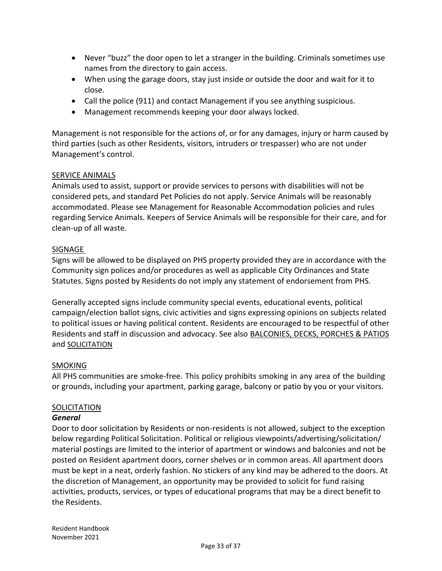- Never "buzz" the door open to let a stranger in the building. Criminals sometimes use names from the directory to gain access.
- When using the garage doors, stay just inside or outside the door and wait for it to close.
- Call the police (911) and contact Management if you see anything suspicious.
- Management recommends keeping your door always locked.

Management is not responsible for the actions of, or for any damages, injury or harm caused by third parties (such as other Residents, visitors, intruders or trespasser) who are not under Management's control.

# SERVICE ANIMALS

Animals used to assist, support or provide services to persons with disabilities will not be considered pets, and standard Pet Policies do not apply. Service Animals will be reasonably accommodated. Please see Management for Reasonable Accommodation policies and rules regarding Service Animals. Keepers of Service Animals will be responsible for their care, and for clean-up of all waste.

### SIGNAGE

Signs will be allowed to be displayed on PHS property provided they are in accordance with the Community sign polices and/or procedures as well as applicable City Ordinances and State Statutes. Signs posted by Residents do not imply any statement of endorsement from PHS.

Generally accepted signs include community special events, educational events, political campaign/election ballot signs, civic activities and signs expressing opinions on subjects related to political issues or having political content. Residents are encouraged to be respectful of other Residents and staff in discussion and advocacy. See also BALCONIES, DECKS, PORCHES & PATIOS and SOLICITATION

# SMOKING

All PHS communities are smoke-free. This policy prohibits smoking in any area of the building or grounds, including your apartment, parking garage, balcony or patio by you or your visitors.

#### **SOLICITATION**

#### *General*

Door to door solicitation by Residents or non-residents is not allowed, subject to the exception below regarding Political Solicitation. Political or religious viewpoints/advertising/solicitation/ material postings are limited to the interior of apartment or windows and balconies and not be posted on Resident apartment doors, corner shelves or in common areas. All apartment doors must be kept in a neat, orderly fashion. No stickers of any kind may be adhered to the doors. At the discretion of Management, an opportunity may be provided to solicit for fund raising activities, products, services, or types of educational programs that may be a direct benefit to the Residents.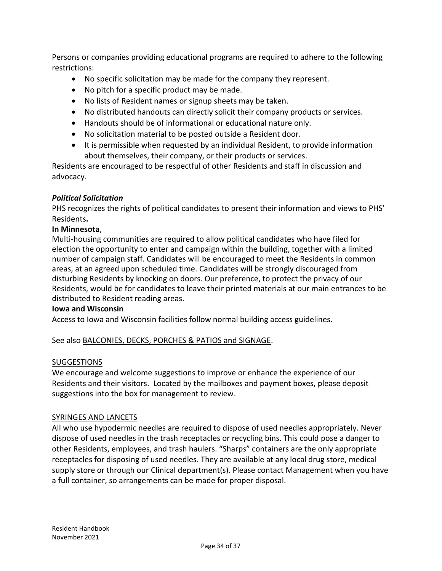Persons or companies providing educational programs are required to adhere to the following restrictions:

- No specific solicitation may be made for the company they represent.
- No pitch for a specific product may be made.
- No lists of Resident names or signup sheets may be taken.
- No distributed handouts can directly solicit their company products or services.
- Handouts should be of informational or educational nature only.
- No solicitation material to be posted outside a Resident door.
- It is permissible when requested by an individual Resident, to provide information about themselves, their company, or their products or services.

Residents are encouraged to be respectful of other Residents and staff in discussion and advocacy.

# *Political Solicitation*

PHS recognizes the rights of political candidates to present their information and views to PHS' Residents**.** 

### **In Minnesota**,

Multi-housing communities are required to allow political candidates who have filed for election the opportunity to enter and campaign within the building, together with a limited number of campaign staff. Candidates will be encouraged to meet the Residents in common areas, at an agreed upon scheduled time. Candidates will be strongly discouraged from disturbing Residents by knocking on doors. Our preference, to protect the privacy of our Residents, would be for candidates to leave their printed materials at our main entrances to be distributed to Resident reading areas.

#### **Iowa and Wisconsin**

Access to Iowa and Wisconsin facilities follow normal building access guidelines.

See also BALCONIES, DECKS, PORCHES & PATIOS and SIGNAGE.

#### SUGGESTIONS

We encourage and welcome suggestions to improve or enhance the experience of our Residents and their visitors. Located by the mailboxes and payment boxes, please deposit suggestions into the box for management to review.

#### SYRINGES AND LANCETS

All who use hypodermic needles are required to dispose of used needles appropriately. Never dispose of used needles in the trash receptacles or recycling bins. This could pose a danger to other Residents, employees, and trash haulers. "Sharps" containers are the only appropriate receptacles for disposing of used needles. They are available at any local drug store, medical supply store or through our Clinical department(s). Please contact Management when you have a full container, so arrangements can be made for proper disposal.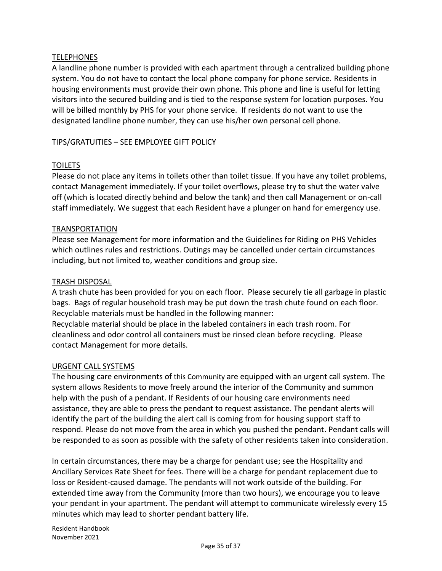## **TELEPHONES**

A landline phone number is provided with each apartment through a centralized building phone system. You do not have to contact the local phone company for phone service. Residents in housing environments must provide their own phone. This phone and line is useful for letting visitors into the secured building and is tied to the response system for location purposes. You will be billed monthly by PHS for your phone service. If residents do not want to use the designated landline phone number, they can use his/her own personal cell phone.

#### TIPS/GRATUITIES – SEE EMPLOYEE GIFT POLICY

### **TOILETS**

Please do not place any items in toilets other than toilet tissue. If you have any toilet problems, contact Management immediately. If your toilet overflows, please try to shut the water valve off (which is located directly behind and below the tank) and then call Management or on-call staff immediately. We suggest that each Resident have a plunger on hand for emergency use.

#### TRANSPORTATION

Please see Management for more information and the Guidelines for Riding on PHS Vehicles which outlines rules and restrictions. Outings may be cancelled under certain circumstances including, but not limited to, weather conditions and group size.

#### TRASH DISPOSAL

A trash chute has been provided for you on each floor. Please securely tie all garbage in plastic bags. Bags of regular household trash may be put down the trash chute found on each floor. Recyclable materials must be handled in the following manner:

Recyclable material should be place in the labeled containers in each trash room. For cleanliness and odor control all containers must be rinsed clean before recycling. Please contact Management for more details.

#### URGENT CALL SYSTEMS

The housing care environments of this Community are equipped with an urgent call system. The system allows Residents to move freely around the interior of the Community and summon help with the push of a pendant. If Residents of our housing care environments need assistance, they are able to press the pendant to request assistance. The pendant alerts will identify the part of the building the alert call is coming from for housing support staff to respond. Please do not move from the area in which you pushed the pendant. Pendant calls will be responded to as soon as possible with the safety of other residents taken into consideration.

In certain circumstances, there may be a charge for pendant use; see the Hospitality and Ancillary Services Rate Sheet for fees. There will be a charge for pendant replacement due to loss or Resident-caused damage. The pendants will not work outside of the building. For extended time away from the Community (more than two hours), we encourage you to leave your pendant in your apartment. The pendant will attempt to communicate wirelessly every 15 minutes which may lead to shorter pendant battery life.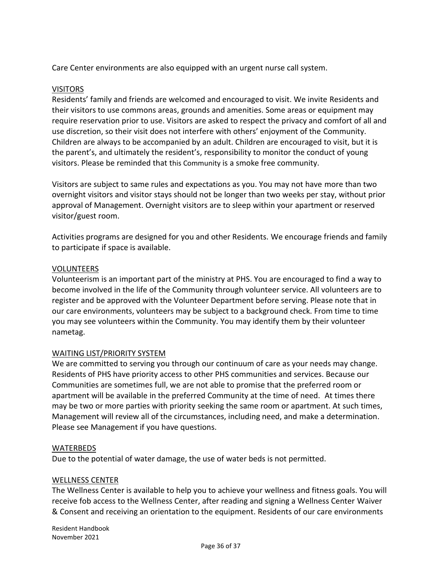Care Center environments are also equipped with an urgent nurse call system.

#### VISITORS

Residents' family and friends are welcomed and encouraged to visit. We invite Residents and their visitors to use commons areas, grounds and amenities. Some areas or equipment may require reservation prior to use. Visitors are asked to respect the privacy and comfort of all and use discretion, so their visit does not interfere with others' enjoyment of the Community. Children are always to be accompanied by an adult. Children are encouraged to visit, but it is the parent's, and ultimately the resident's, responsibility to monitor the conduct of young visitors. Please be reminded that this Community is a smoke free community.

Visitors are subject to same rules and expectations as you. You may not have more than two overnight visitors and visitor stays should not be longer than two weeks per stay, without prior approval of Management. Overnight visitors are to sleep within your apartment or reserved visitor/guest room.

Activities programs are designed for you and other Residents. We encourage friends and family to participate if space is available.

#### VOLUNTEERS

Volunteerism is an important part of the ministry at PHS. You are encouraged to find a way to become involved in the life of the Community through volunteer service. All volunteers are to register and be approved with the Volunteer Department before serving. Please note that in our care environments, volunteers may be subject to a background check. From time to time you may see volunteers within the Community. You may identify them by their volunteer nametag.

# WAITING LIST/PRIORITY SYSTEM

We are committed to serving you through our continuum of care as your needs may change. Residents of PHS have priority access to other PHS communities and services. Because our Communities are sometimes full, we are not able to promise that the preferred room or apartment will be available in the preferred Community at the time of need. At times there may be two or more parties with priority seeking the same room or apartment. At such times, Management will review all of the circumstances, including need, and make a determination. Please see Management if you have questions.

#### WATERBEDS

Due to the potential of water damage, the use of water beds is not permitted.

#### WELLNESS CENTER

The Wellness Center is available to help you to achieve your wellness and fitness goals. You will receive fob access to the Wellness Center, after reading and signing a Wellness Center Waiver & Consent and receiving an orientation to the equipment. Residents of our care environments

Resident Handbook November 2021